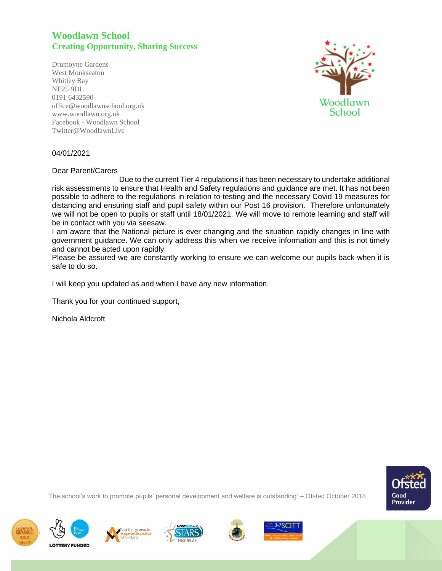## **Woodlawn School Creating Opportunity, Sharing Success**

Drumoyne Gardens West Monkseaton Whitley Bay NE25 9DL 0191 6432590 office@woodlawnschool.org.uk [www.woodlawn.](http://www.woodlawn/)org.uk Facebook - Woodlawn School Twitter@WoodlawnLive



## 04/01/2021

Dear Parent/Carers

 Due to the current Tier 4 regulations it has been necessary to undertake additional risk assessments to ensure that Health and Safety regulations and guidance are met. It has not been possible to adhere to the regulations in relation to testing and the necessary Covid 19 measures for distancing and ensuring staff and pupil safety within our Post 16 provision. Therefore unfortunately we will not be open to pupils or staff until 18/01/2021. We will move to remote learning and staff will be in contact with you via seesaw.

I am aware that the National picture is ever changing and the situation rapidly changes in line with government guidance. We can only address this when we receive information and this is not timely and cannot be acted upon rapidly.

Please be assured we are constantly working to ensure we can welcome our pupils back when it is safe to do so.

I will keep you updated as and when I have any new information.

Thank you for your continued support,

Nichola Aldcroft



'The school's work to promote pupils' personal development and welfare is outstanding' – Ofsted October 2018